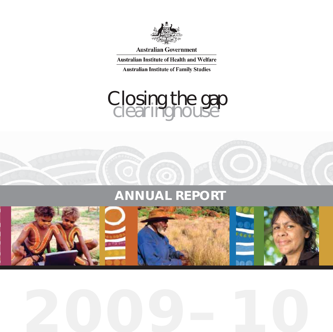

**Australian Government** 

**Australian Institute of Health and Welfare** 

**Australian Institute of Family Studies** 

# Closing the gap<br>Clearinghouse

# **ANNUAL REPORT**

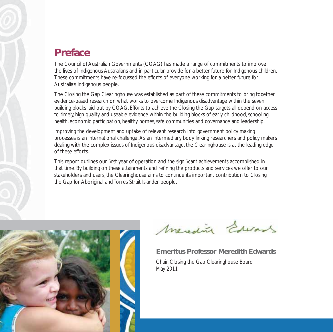

# **Preface**

The Council of Australian Governments (COAG) has made a range of commitments to improve the lives of Indigenous Australians and in particular provide for a better future for Indigenous children. These commitments have re-focussed the efforts of everyone working for a better future for Australia's Indigenous people.

The Closing the Gap Clearinghouse was established as part of these commitments to bring together evidence-based research on what works to overcome Indigenous disadvantage within the seven building blocks laid out by COAG. Efforts to achieve the Closing the Gap targets all depend on access to timely, high quality and useable evidence within the building blocks of early childhood, schooling, health, economic participation, healthy homes, safe communities and governance and leadership.

Improving the development and uptake of relevant research into government policy making processes is an international challenge. As an intermediary body linking researchers and policy makers dealing with the complex issues of Indigenous disadvantage, the Clearinghouse is at the leading edge of these efforts.

This report outlines our first year of operation and the significant achievements accomplished in that time. By building on these attainments and refining the products and services we offer to our stakeholders and users, the Clearinghouse aims to continue its important contribution to Closing the Gap for Aboriginal and Torres Strait Islander people.



Meredite Edwards

**Emeritus Professor Meredith Edwards**

Chair, Closing the Gap Clearinghouse Board May 2011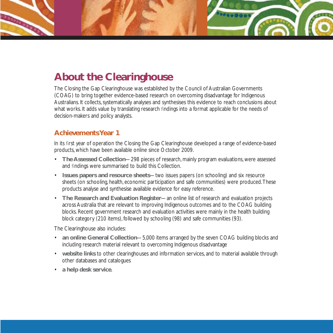# **About the Clearinghouse**

The Closing the Gap Clearinghouse was established by the Council of Australian Governments (COAG) to bring together evidence-based research on overcoming disadvantage for Indigenous Australians. It collects, systematically analyses and synthesises this evidence to reach conclusions about what works. It adds value by translating research findings into a format applicable for the needs of decision-makers and policy analysts.

### **Achievements Year 1**

In its first year of operation the Closing the Gap Clearinghouse developed a range of evidence-based products, which have been available online since October 2009.

- **The Assessed Collection**—298 pieces of research, mainly program evaluations, were assessed and findings were summarised to build this Collection.
- **Issues papers and resource sheets**—two issues papers (on schooling) and six resource sheets (on schooling, health, economic participation and safe communities) were produced. These products analyse and synthesise available evidence for easy reference.
- **The Research and Evaluation Register**—an online list of research and evaluation projects across Australia that are relevant to improving Indigenous outcomes and to the COAG building blocks. Recent government research and evaluation activities were mainly in the health building block category (210 items), followed by schooling (98) and safe communities (93).

The Clearinghouse also includes:

- **an online General Collection**—5,000 items arranged by the seven COAG building blocks and including research material relevant to overcoming Indigenous disadvantage
- **website links** to other clearinghouses and information services, and to material available through other databases and catalogues
- **a help desk service**.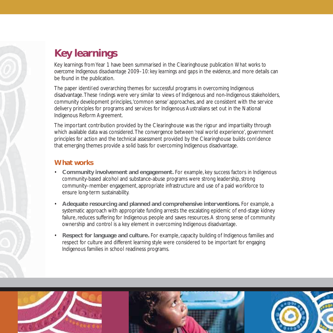# **Key learnings**

Key learnings from Year 1 have been summarised in the Clearinghouse publication *What works to overcome Indigenous disadvantage 2009–10: key learnings and gaps in the evidence,* and more details can be found in the publication.

The paper identified overarching themes for successful programs in overcoming Indigenous disadvantage. These findings were very similar to views of Indigenous and non-Indigenous stakeholders, community development principles, 'common sense' approaches, and are consistent with the service delivery principles for programs and services for Indigenous Australians set out in the National Indigenous Reform Agreement.

The important contribution provided by the Clearinghouse was the rigour and impartiality through which available data was considered. The convergence between 'real world experience', government principles for action and the technical assessment provided by the Clearinghouse builds confidence that emerging themes provide a solid basis for overcoming Indigenous disadvantage.

### **What works**

- **Community involvement and engagement.** For example, key success factors in Indigenous community-based alcohol and substance-abuse programs were strong leadership, strong community–member engagement, appropriate infrastructure and use of a paid workforce to ensure long-term sustainability.
- **Adequate resourcing and planned and comprehensive interventions.** For example, a systematic approach with appropriate funding arrests the escalating epidemic of end-stage kidney failure, reduces suffering for Indigenous people and saves resources. A strong sense of community ownership and control is a key element in overcoming Indigenous disadvantage.
- **Respect for language and culture.** For example, capacity building of Indigenous families and respect for culture and different learning style were considered to be important for engaging Indigenous families in school readiness programs.





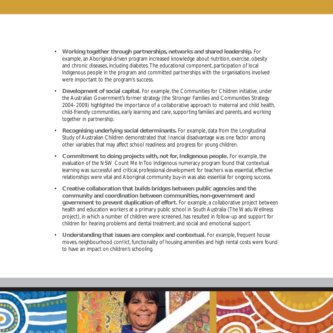- **Working together through partnerships, networks and shared leadership.** For example, an Aboriginal-driven program increased knowledge about nutrition, exercise, obesity and chronic diseases, including diabetes. The educational component, participation of local Indigenous people in the program and committed partnerships with the organisations involved were important to the program's success.
- **Development of social capital.** For example, the Communities for Children initiative, under the Australian Government's former strategy (the Stronger Families and Communities Strategy 2004–2009) highlighted the importance of a collaborative approach to maternal and child health, child-friendly communities, early learning and care, supporting families and parents, and working together in partnership.
- **Recognising underlying social determinants.** For example, data from the Longitudinal Study of Australian Children demonstrated that financial disadvantage was one factor among other variables that may affect school readiness and progress for young children.
- **Commitment to doing projects with, not for, Indigenous people.** For example, the evaluation of the NSW Count Me In Too Indigenous numeracy program found that contextual learning was successful and critical, professional development for teachers was essential, effective relationships were vital and Aboriginal community buy-in was also essential for ongoing success.
- **Creative collaboration that builds bridges between public agencies and the community and coordination between communities, non-government and government to prevent duplication of effort.** For example, a collaborative project between health and education workers at a primary public school in South Australia (The Wadu Wellness project), in which a number of children were screened, has resulted in follow-up and support for children for hearing problems and dental treatment, and social and emotional support.
- Understanding that issues are complex and contextual. For example, frequent house moves, neighbourhood conflict, functionality of housing amenities and high rental costs were found to have an impact on children's schooling.

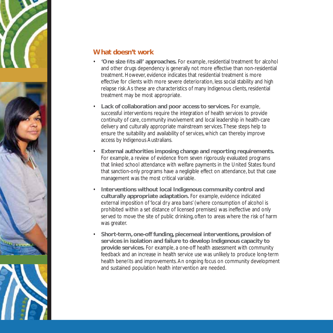

### **What doesn't work**

- 'One size fits all' approaches. For example, residential treatment for alcohol and other drugs dependency is generally not more effective than non-residential treatment. However, evidence indicates that residential treatment is more effective for clients with more severe deterioration, less social stability and high relapse risk. As these are characteristics of many Indigenous clients, residential treatment may be most appropriate.
- **Lack of collaboration and poor access to services.** For example, successful interventions require the integration of health services to provide continuity of care, community involvement and local leadership in health-care delivery and culturally appropriate mainstream services. These steps help to ensure the suitability and availability of services, which can thereby improve access by Indigenous Australians.
- **External authorities imposing change and reporting requirements.** For example, a review of evidence from seven rigorously evaluated programs that linked school attendance with welfare payments in the United States found that sanction-only programs have a negligible effect on attendance, but that case management was the most critical variable.
- **Interventions without local Indigenous community control and culturally appropriate adaptation.** For example, evidence indicated external imposition of 'local dry area bans' (where consumption of alcohol is prohibited within a set distance of licensed premises) was ineffective and only served to move the site of public drinking, often to areas where the risk of harm was greater.
- **Short-term, one-off funding, piecemeal interventions, provision of services in isolation and failure to develop Indigenous capacity to provide services.** For example, a one-off health assessment with community feedback and an increase in health service use was unlikely to produce long-term health benefits and improvements. An ongoing focus on community development and sustained population health intervention are needed.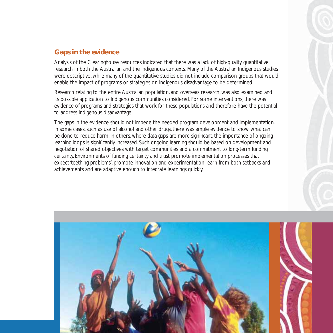### **Gaps in the evidence**

Analysis of the Clearinghouse resources indicated that there was a lack of high-quality quantitative research in both the Australian and the Indigenous contexts. Many of the Australian Indigenous studies were descriptive, while many of the quantitative studies did not include comparison groups that would enable the impact of programs or strategies on Indigenous disadvantage to be determined.

Research relating to the entire Australian population, and overseas research, was also examined and its possible application to Indigenous communities considered. For some interventions, there was evidence of programs and strategies that work for these populations and therefore have the potential to address Indigenous disadvantage.

The gaps in the evidence should not impede the needed program development and implementation. In some cases, such as use of alcohol and other drugs, there was ample evidence to show what can be done to reduce harm. In others, where data gaps are more significant, the importance of ongoing learning loops is significantly increased. Such ongoing learning should be based on development and negotiation of shared objectives with target communities and a commitment to long-term funding certainty. Environments of funding certainty and trust promote implementation processes that expect 'teething problems', promote innovation and experimentation, learn from both setbacks and achievements and are adaptive enough to integrate learnings quickly.

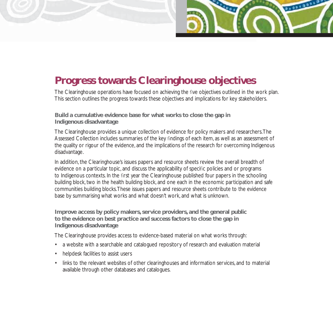

# **Progress towards Clearinghouse objectives**

The Clearinghouse operations have focused on achieving the five objectives outlined in the work plan. This section outlines the progress towards these objectives and implications for key stakeholders.

### **Build a cumulative evidence base for what works to close the gap in Indigenous disadvantage**

The Clearinghouse provides a unique collection of evidence for policy makers and researchers. The Assessed Collection includes summaries of the key findings of each item, as well as an assessment of the quality or rigour of the evidence, and the implications of the research for overcoming Indigenous disadvantage.

In addition, the Clearinghouse's issues papers and resource sheets review the overall breadth of evidence on a particular topic, and discuss the applicability of specific policies and or programs to Indigenous contexts. In the first year the Clearinghouse published four papers in the schooling building block, two in the health building block, and one each in the economic participation and safe communities building blocks. These issues papers and resource sheets contribute to the evidence base by summarising what works and what doesn't work, and what is unknown.

### **Improve access by policy makers, service providers, and the general public to the evidence on best practice and success factors to close the gap in Indigenous disadvantage**

The Clearinghouse provides access to evidence-based material on what works through:

- a website with a searchable and catalogued repository of research and evaluation material
- helpdesk facilities to assist users
- links to the relevant websites of other clearinghouses and information services, and to material available through other databases and catalogues.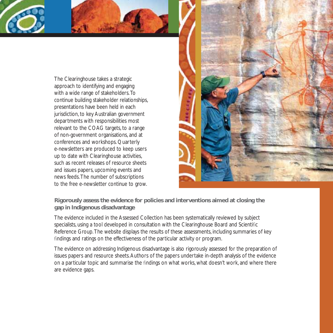The Clearinghouse takes a strategic approach to identifying and engaging with a wide range of stakeholders. To continue building stakeholder relationships, presentations have been held in each jurisdiction, to key Australian government departments with responsibilities most relevant to the COAG targets, to a range of non-government organisations, and at conferences and workshops. Quarterly e-newsletters are produced to keep users up to date with Clearinghouse activities, such as recent releases of resource sheets and issues papers, upcoming events and news feeds. The number of subscriptions to the free e-newsletter continue to grow.



### **Rigorously assess the evidence for policies and interventions aimed at closing the gap in Indigenous disadvantage**

The evidence included in the Assessed Collection has been systematically reviewed by subject specialists, using a tool developed in consultation with the Clearinghouse Board and Scientific Reference Group. The website displays the results of these assessments, including summaries of key findings and ratings on the effectiveness of the particular activity or program.

The evidence on addressing Indigenous disadvantage is also rigorously assessed for the preparation of issues papers and resource sheets. Authors of the papers undertake in-depth analysis of the evidence on a particular topic and summarise the findings on what works, what doesn't work, and where there are evidence gaps.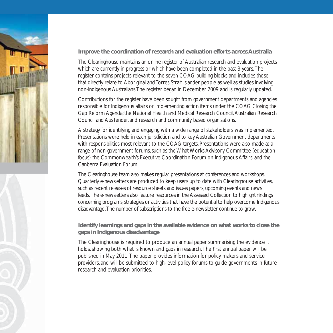### **Improve the coordination of research and evaluation efforts across Australia**

The Clearinghouse maintains an online register of Australian research and evaluation projects which are currently in progress or which have been completed in the past 3 years. The register contains projects relevant to the seven COAG building blocks and includes those that directly relate to Aboriginal and Torres Strait Islander people as well as studies involving non-Indigenous Australians. The register began in December 2009 and is regularly updated.

Contributions for the register have been sought from government departments and agencies responsible for Indigenous affairs or implementing action items under the COAG Closing the Gap Reform Agenda; the National Health and Medical Research Council, Australian Research Council and AusTender, and research and community based organisations.

A strategy for identifying and engaging with a wide range of stakeholders was implemented. Presentations were held in each jurisdiction and to key Australian Government departments with responsibilities most relevant to the COAG targets. Presentations were also made at a range of non-government forums, such as the What Works Advisory Committee (education focus) the Commonwealth's Executive Coordination Forum on Indigenous Affairs, and the Canberra Evaluation Forum.

The Clearinghouse team also makes regular presentations at conferences and workshops. Quarterly e-newsletters are produced to keep users up to date with Clearinghouse activities, such as recent releases of resource sheets and issues papers, upcoming events and news feeds. The e-newsletters also feature resources in the Assessed Collection to highlight findings concerning programs, strategies or activities that have the potential to help overcome Indigenous disadvantage. The number of subscriptions to the free e-newsletter continue to grow.

### **Identify learnings and gaps in the available evidence on what works to close the gaps in Indigenous disadvantage**

The Clearinghouse is required to produce an annual paper summarising the evidence it holds, showing both what is known and gaps in research. The first annual paper will be published in May 2011. The paper provides information for policy makers and service providers, and will be submitted to high-level policy forums to guide governments in future research and evaluation priorities.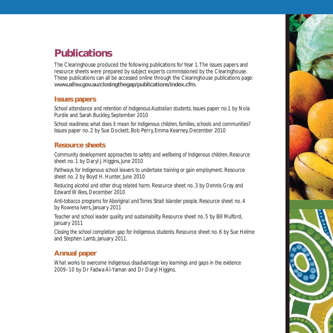# **Publications**

The Clearinghouse produced the following publications for Year 1. The issues papers and resource sheets were prepared by subject experts commissioned by the Clearinghouse. These publications can all be accessed online through the Clearinghouse publications page: **www.aihw.gov.au/closingthegap/publications/index.cfm**.

### **Issues papers**

*School attendance and retention of Indigenous Australian students.* Issues paper no.1 by Nola Purdie and Sarah Buckley, September 2010

*School readiness: what does it mean for Indigenous children, families, schools and communities?*  Issues paper no. 2 by Sue Dockett, Bob Perry, Emma Kearney, December 2010

### **Resource sheets**

*Community development approaches to safety and wellbeing of Indigenous children*. Resource sheet no. 1 by Daryl J. Higgins, June 2010

*Pathways for Indigenous school leavers to undertake training or gain employment.* Resource sheet no. 2 by Boyd H. Hunter, June 2010

*Reducing alcohol and other drug related harm*. Resource sheet no. 3 by Dennis Gray and Edward Wilkes, December 2010

*Anti-tobacco programs for Aboriginal and Torres Strait Islander people*. Resource sheet no. 4 by Rowena Ivers, January 2011

*Teacher and school leader quality and sustainability.* Resource sheet no. 5 by Bill Mulford, January 2011

*Closing the school completion gap for Indigenous students*. Resource sheet no. 6 by Sue Helme and Stephen Lamb, January 2011.

### **Annual paper**

*What works to overcome Indigenous disadvantage: key learnings and gaps in the evidence 2009–10* by Dr Fadwa Al-Yaman and Dr Daryl Higgins.

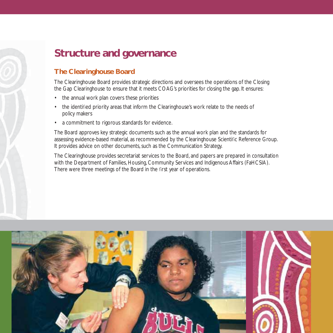# **Structure and governance**

### **The Clearinghouse Board**

The Clearinghouse Board provides strategic directions and oversees the operations of the Closing the Gap Clearinghouse to ensure that it meets COAG's priorities for closing the gap. It ensures:

- the annual work plan covers these priorities
- the identified priority areas that inform the Clearinghouse's work relate to the needs of policy makers
- a commitment to rigorous standards for evidence.

The Board approves key strategic documents such as the annual work plan and the standards for assessing evidence-based material, as recommended by the Clearinghouse Scientific Reference Group. It provides advice on other documents, such as the Communication Strategy.

The Clearinghouse provides secretariat services to the Board, and papers are prepared in consultation with the Department of Families, Housing, Community Services and Indigenous Affairs (FaHCSIA). There were three meetings of the Board in the first year of operations.

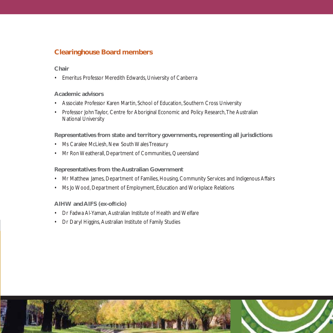### **Clearinghouse Board members**

### **Chair**

• Emeritus Professor Meredith Edwards, University of Canberra

### **Academic advisors**

- Associate Professor Karen Martin, School of Education, Southern Cross University
- Professor John Taylor, Centre for Aboriginal Economic and Policy Research, The Australian National University

### **Representatives from state and territory governments, representing all jurisdictions**

- Ms Caralee McLiesh, New South Wales Treasury
- Mr Ron Weatherall, Department of Communities, Queensland

### **Representatives from the Australian Government**

- Mr Matthew James, Department of Families, Housing, Community Services and Indigenous Affairs
- Ms Jo Wood, Department of Employment, Education and Workplace Relations

### **AIHW** and AIFS (ex-officio)

- Dr Fadwa Al-Yaman, Australian Institute of Health and Welfare
- Dr Daryl Higgins, Australian Institute of Family Studies

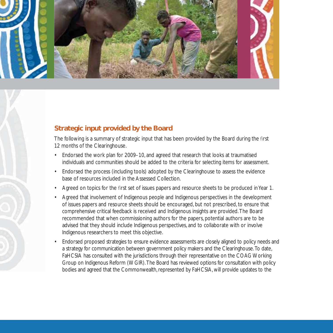

### **Strategic input provided by the Board**

The following is a summary of strategic input that has been provided by the Board during the first 12 months of the Clearinghouse.

- Endorsed the work plan for 2009–10, and agreed that research that looks at traumatised individuals and communities should be added to the criteria for selecting items for assessment.
- Endorsed the process (including tools) adopted by the Clearinghouse to assess the evidence base of resources included in the Assessed Collection.
- Agreed on topics for the first set of issues papers and resource sheets to be produced in Year 1.
- Agreed that involvement of Indigenous people and Indigenous perspectives in the development of issues papers and resource sheets should be encouraged, but not prescribed, to ensure that comprehensive critical feedback is received and Indigenous insights are provided. The Board recommended that when commissioning authors for the papers, potential authors are to be advised that they should include Indigenous perspectives, and to collaborate with or involve Indigenous researchers to meet this objective.
- Endorsed proposed strategies to ensure evidence assessments are closely aligned to policy needs and a strategy for communication between government policy makers and the Clearinghouse. To date, FaHCSIA has consulted with the jurisdictions through their representative on the COAG Working Group on Indigenous Reform (WGIR). The Board has reviewed options for consultation with policy bodies and agreed that the Commonwealth, represented by FaHCSIA, will provide updates to the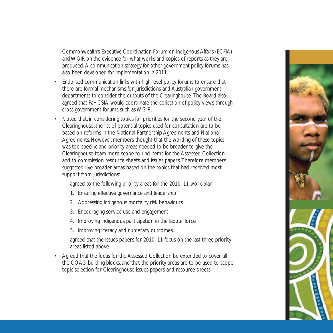Commonwealth's Executive Coordination Forum on Indigenous Affairs (ECFIA) and WGIR on the evidence for what works and copies of reports as they are produced. A communication strategy for other government policy forums has also been developed for implementation in 2011.

- Endorsed communication links with high-level policy forums to ensure that there are formal mechanisms for jurisdictions and Australian government departments to consider the outputs of the Clearinghouse. The Board also agreed that FaHCSIA would coordinate the collection of policy views through cross government forums such as WGIR.
- Noted that, in considering topics for priorities for the second year of the Clearinghouse, the list of potential topics used for consultation are to be based on reforms in the National Partnership Agreements and National Agreements. However, members thought that the wording of these topics was too specific and priority areas needed to be broader to give the Clearinghouse team more scope to find items for the Assessed Collection and to commission resource sheets and issues papers. Therefore members suggested five broader areas based on the topics that had received most support from jurisdictions:
	- agreed to the following priority areas for the 2010–11 work plan
		- 1. Ensuring effective governance and leadership
		- 2. Addressing Indigenous mortality risk behaviours
		- 3. Encouraging service use and engagement
		- 4. Improving Indigenous participation in the labour force
		- 5. Improving literacy and numeracy outcomes.
	- agreed that the issues papers for 2010–11 focus on the last three priority areas listed above.
- Agreed that the focus for the Assessed Collection be extended to cover all the COAG building blocks, and that the priority areas are to be used to scope topic selection for Clearinghouse issues papers and resource sheets.

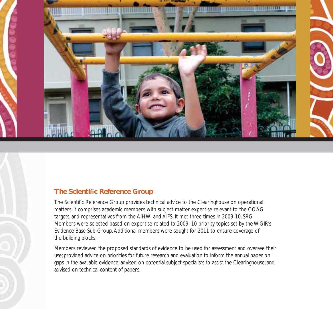

### **The Scientific Reference Group**

The Scientific Reference Group provides technical advice to the Clearinghouse on operational matters. It comprises academic members with subject matter expertise relevant to the COAG targets, and representatives from the AIHW and AIFS. It met three times in 2009-10. SRG Members were selected based on expertise related to 2009–10 priority topics set by the WGIR's Evidence Base Sub-Group. Additional members were sought for 2011 to ensure coverage of the building blocks.

Members reviewed the proposed standards of evidence to be used for assessment and oversee their use; provided advice on priorities for future research and evaluation to inform the annual paper on gaps in the available evidence; advised on potential subject specialists to assist the Clearinghouse; and advised on technical content of papers.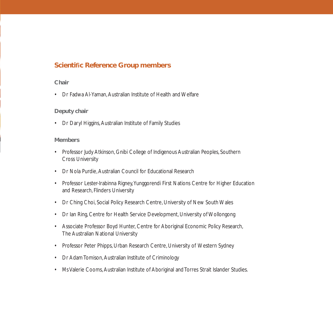### **Scientific Reference Group members**

### **Chair**

• Dr Fadwa Al-Yaman, Australian Institute of Health and Welfare

### **Deputy chair**

• Dr Daryl Higgins, Australian Institute of Family Studies

### **Members**

- Professor Judy Atkinson, Gnibi College of Indigenous Australian Peoples, Southern Cross University
- Dr Nola Purdie, Australian Council for Educational Research
- Professor Lester-Irabinna Rigney, Yunggorendi First Nations Centre for Higher Education and Research, Flinders University
- Dr Ching Choi, Social Policy Research Centre, University of New South Wales
- Dr Ian Ring, Centre for Health Service Development, University of Wollongong
- Associate Professor Boyd Hunter, Centre for Aboriginal Economic Policy Research, The Australian National University
- Professor Peter Phipps, Urban Research Centre, University of Western Sydney
- Dr Adam Tomison, Australian Institute of Criminology
- Ms Valerie Cooms, Australian Institute of Aboriginal and Torres Strait Islander Studies.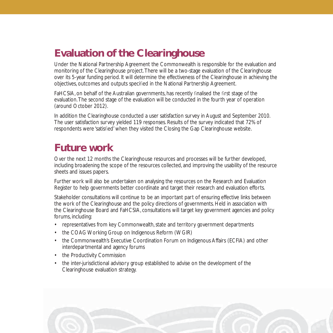# **Evaluation of the Clearinghouse**

Under the National Partnership Agreement the Commonwealth is responsible for the evaluation and monitoring of the Clearinghouse project. There will be a two-stage evaluation of the Clearinghouse over its 5-year funding period. It will determine the effectiveness of the Clearinghouse in achieving the objectives, outcomes and outputs specified in the National Partnership Agreement.

FaHCSIA, on behalf of the Australian governments, has recently finalised the first stage of the evaluation. The second stage of the evaluation will be conducted in the fourth year of operation (around October 2012).

In addition the Clearinghouse conducted a user satisfaction survey in August and September 2010. The user satisfaction survey yielded 119 responses. Results of the survey indicated that 72% of respondents were 'satisfied' when they visited the Closing the Gap Clearinghouse website.

# **Future work**

Over the next 12 months the Clearinghouse resources and processes will be further developed, including broadening the scope of the resources collected, and improving the usability of the resource sheets and issues papers.

Further work will also be undertaken on analysing the resources on the Research and Evaluation Register to help governments better coordinate and target their research and evaluation efforts.

Stakeholder consultations will continue to be an important part of ensuring effective links between the work of the Clearinghouse and the policy directions of governments. Held in association with the Clearinghouse Board and FaHCSIA, consultations will target key government agencies and policy forums, including:

- representatives from key Commonwealth, state and territory government departments
- the COAG Working Group on Indigenous Reform (WGIR)
- the Commonwealth's Executive Coordination Forum on Indigenous Affairs (ECFIA) and other interdepartmental and agency forums
- the Productivity Commission
- the inter-jurisdictional advisory group established to advise on the development of the Clearinghouse evaluation strategy.

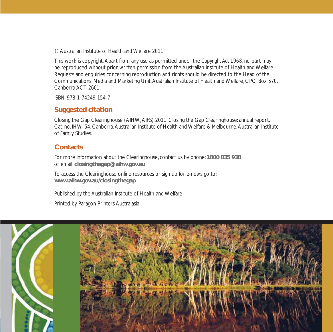© Australian Institute of Health and Welfare 2011

This work is copyright. Apart from any use as permitted under the *Copyright Act 1968*, no part may be reproduced without prior written permission from the Australian Institute of Health and Welfare. Requests and enquiries concerning reproduction and rights should be directed to the Head of the Communications, Media and Marketing Unit, Australian Institute of Health and Welfare, GPO Box 570, Canberra ACT 2601.

ISBN 978-1-74249-154-7

### **Suggested citation**

Closing the Gap Clearinghouse (AIHW, AIFS) 2011. Closing the Gap Clearinghouse: annual report. Cat. no. IHW 54. Canberra: Australian Institute of Health and Welfare & Melbourne: Australian Institute of Family Studies.

### **Contacts**

For more information about the Clearinghouse, contact us by phone: **1800 035 938** or email: **closingthegap@aihw.gov.au**

To access the Clearinghouse online resources or sign up for e-news go to: **www.aihw.gov.au/closingthegap**

Published by the Australian Institute of Health and Welfare Printed by Paragon Printers Australasia